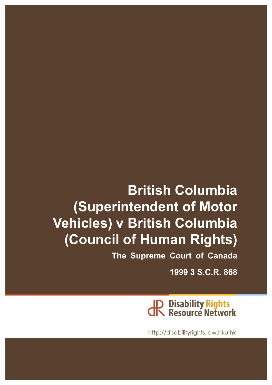# **British Columbia (Superintendent of Motor Vehicles) v British Columbia (Council of Human Rights)**

**The Supreme Court of Canada**

**1999 3 S.C.R. 868**



http://disabilityrights.law.hku.hk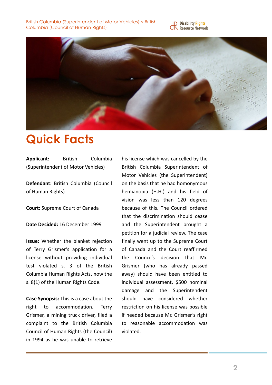



## **Quick Facts**

Applicant: British Columbia (Superintendent of Motor Vehicles)

**Defendant: British Columbia (Council)** of Human Rights)

**Court:** Supreme Court of Canada

Date Decided: 16 December 1999

**Issue:** Whether the blanket rejection of Terry Grismer's application for a license without providing individual test violated s. 3 of the British Columbia Human Rights Acts, now the s. 8(1) of the Human Rights Code.

**Case Synopsis:** This is a case about the right to accommodation. Terry Grismer, a mining truck driver, filed a complaint to the British Columbia Council of Human Rights (the Council) in 1994 as he was unable to retrieve his license which was cancelled by the British Columbia Superintendent of Motor Vehicles (the Superintendent) on the basis that he had homonymous hemianopia (H.H.) and his field of vision was less than 120 degrees because of this. The Council ordered that the discrimination should cease and the Superintendent brought a petition for a judicial review. The case finally went up to the Supreme Court of Canada and the Court reaffirmed the Council's decision that Mr. Grismer (who has already passed away) should have been entitled to individual assessment, \$500 nominal damage and the Superintendent should have considered whether restriction on his license was possible if needed because Mr. Grismer's right to reasonable accommodation was violated.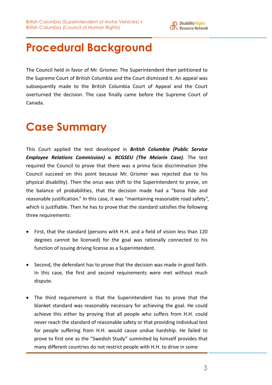

## **Procedural Background**

The Council held in favor of Mr. Grismer. The Superintendent then petitioned to the Supreme Court of British Columbia and the Court dismissed it. An appeal was subsequently made to the British Columbia Court of Appeal and the Court overturned the decision. The case finally came before the Supreme Court of Canada.

## **Case Summary**

This Court applied the test developed in **British Columbia (Public Service** *Employee Relations Commission) v. BCGSEU (The Meiorin Case)*. The test required the Council to prove that there was a prima facie discrimination (the Council succeed on this point because Mr. Grismer was rejected due to his physical disability). Then the onus was shift to the Superintendent to prove, on the balance of probabilities, that the decision made had a "bona fide and reasonable justification." In this case, it was "maintaining reasonable road safety", which is justifiable. Then he has to prove that the standard satisfies the following three requirements:

- First, that the standard (persons with H.H. and a field of vision less than 120 degrees cannot be licensed) for the goal was rationally connected to his function of issuing driving license as a Superintendent.
- Second, the defendant has to prove that the decision was made in good faith. In this case, the first and second requirements were met without much dispute.
- The third requirement is that the Superintendent has to prove that the blanket standard was reasonably necessary for achieving the goal. He could achieve this either by proving that all people who suffers from H.H. could never reach the standard of reasonable safety or that providing individual test for people suffering from H.H. would cause undue hardship. He failed to prove to first one as the "Swedish Study" summited by himself provides that many different countries do not restrict people with H.H. to drive in some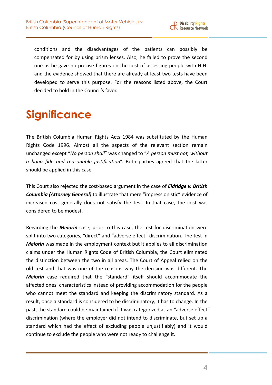

conditions and the disadvantages of the patients can possibly be compensated for by using prism lenses. Also, he failed to prove the second one as he gave no precise figures on the cost of assessing people with H.H. and the evidence showed that there are already at least two tests have been developed to serve this purpose. For the reasons listed above, the Court decided to hold in the Council's favor.

## **Significance**

The British Columbia Human Rights Acts 1984 was substituted by the Human Rights Code 1996. Almost all the aspects of the relevant section remain unchanged except "No person shall" was changed to "A person must not, without *a bona fide and reasonable justification*". Both parties agreed that the latter should be applied in this case.

This Court also rejected the cost-based argument in the case of *Eldridge v. British* **Columbia (Attorney General)** to illustrate that mere "impressionistic" evidence of increased cost generally does not satisfy the test. In that case, the cost was considered to be modest.

Regarding the *Meiorin* case; prior to this case, the test for discrimination were split into two categories, "direct" and "adverse effect" discrimination. The test in *Meiorin* was made in the employment context but it applies to all discrimination claims under the Human Rights Code of British Columbia, the Court eliminated the distinction between the two in all areas. The Court of Appeal relied on the old test and that was one of the reasons why the decision was different. The **Meiorin** case required that the "standard" itself should accommodate the affected ones' characteristics instead of providing accommodation for the people who cannot meet the standard and keeping the discriminatory standard. As a result, once a standard is considered to be discriminatory, it has to change. In the past, the standard could be maintained if it was categorized as an "adverse effect" discrimination (where the employer did not intend to discriminate, but set up a standard which had the effect of excluding people unjustifiably) and it would continue to exclude the people who were not ready to challenge it.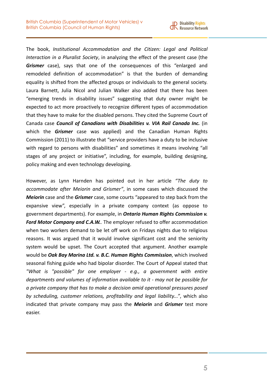

The book, *Institutional Accommodation and the Citizen: Legal and Political Interaction in a Pluralist Society*, in analyzing the effect of the present case (the **Grismer** case), says that one of the consequences of this "enlarged and remodeled definition of accommodation" is that the burden of demanding equality is shifted from the affected groups or individuals to the general society. Laura Barnett, Julia Nicol and Julian Walker also added that there has been "emerging trends in disability issues" suggesting that duty owner might be expected to act more proactively to recognize different types of accommodation that they have to make for the disabled persons. They cited the Supreme Court of Canada case *Council of Canadians with Disabilities v. VIA Rail Canada Inc.* (in which the *Grismer* case was applied) and the Canadian Human Rights Commission (2011) to illustrate that "service providers have a duty to be inclusive with regard to persons with disabilities" and sometimes it means involving "all stages of any project or initiative", including, for example, building designing, policy making and even technology developing.

However, as Lynn Harnden has pointed out in her article "The duty to accommodate after Meiorin and Grismer", in some cases which discussed the *Meiorin* case and the *Grismer* case, some courts "appeared to step back from the expansive view", especially in a private company context (as oppose to government departments). For example, in **Ontario Human Rights Commission v.** Ford Motor Company and C.A.W.. The employer refused to offer accommodation when two workers demand to be let off work on Fridays nights due to religious reasons. It was argued that it would involve significant cost and the seniority system would be upset. The Court accepted that argument. Another example would be Oak Bay Marina Ltd. v. B.C. Human Rights Commission, which involved seasonal fishing guide who had bipolar disorder. The Court of Appeal stated that *"What is "possible" for one employer - e.g., a government with entire*  departments and volumes of information available to it - may not be possible for a private company that has to make a decision amid operational pressures posed by scheduling, customer relations, profitability and legal liability...", which also indicated that private company may pass the **Meiorin** and **Grismer** test more easier.